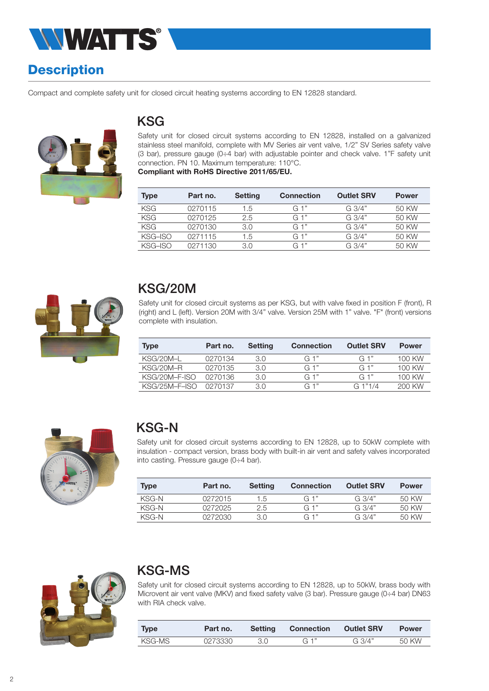

# **Description**

Compact and complete safety unit for closed circuit heating systems according to EN 12828 standard.



### KSG

Safety unit for closed circuit systems according to EN 12828, installed on a galvanized stainless steel manifold, complete with MV Series air vent valve, 1/2" SV Series safety valve (3 bar), pressure gauge (0÷4 bar) with adjustable pointer and check valve. 1"F safety unit connection. PN 10. Maximum temperature: 110°C.

Compliant with RoHS Directive 2011/65/EU.

| <b>Type</b> | Part no. | <b>Setting</b> | <b>Connection</b> | <b>Outlet SRV</b> | <b>Power</b> |
|-------------|----------|----------------|-------------------|-------------------|--------------|
| <b>KSG</b>  | 0270115  | 1.5            | G 1"              | $G_3/4"$          | 50 KW        |
| <b>KSG</b>  | 0270125  | 2.5            | $G_1$ "           | G.3/4"            | 50 KW        |
| <b>KSG</b>  | 0270130  | 3.0            | G 1"              | G.3/4"            | 50 KW        |
| KSG-ISO     | 0271115  | 1.5            | $G_1$ "           | G.3/4"            | 50 KW        |
| KSG-ISO     | 0271130  | 3 O            | G 1"              | G.3/4"            | 50 KW        |



## KSG/20M

Safety unit for closed circuit systems as per KSG, but with valve fixed in position F (front), R (right) and L (left). Version 20M with 3/4" valve. Version 25M with 1" valve. "F" (front) versions complete with insulation.

| <b>Type</b>     | Part no. | <b>Setting</b> | <b>Connection</b> | <b>Outlet SRV</b> | <b>Power</b> |
|-----------------|----------|----------------|-------------------|-------------------|--------------|
| KSG/20M-L       | 0270134  | 3.0            | G 1"              | G 1"              | 100 KW       |
| KSG/20M-R       | 0270135  | 3.0            | G 1"              | G 1"              | 100 KW       |
| KSG/20M-F-ISO   | 0270136  | 3.0            | G 1"              | $G_1$ "           | 100 KW       |
| $KSG/25M-F-ISO$ | 0270137  | 3.0            | G 1"              | G1"1/4            | 200 KW       |



## KSG-N

Safety unit for closed circuit systems according to EN 12828, up to 50kW complete with insulation - compact version, brass body with built-in air vent and safety valves incorporated into casting. Pressure gauge (0÷4 bar).

| <b>Type</b> | Part no. | Setting       | <b>Connection</b> | <b>Outlet SRV</b> | <b>Power</b> |
|-------------|----------|---------------|-------------------|-------------------|--------------|
| KSG-N       | 0272015  | 1.5           | $G_1$             | G.3/4"            | 50 KW        |
| KSG-N       | 0272025  | $2.5^{\circ}$ | G 1"              | G.3/4"            | 50 KW        |
| KSG-N       | 0272030  | 3.0           | G 1"              | G.3/4"            | 50 KW        |



## KSG-MS

Safety unit for closed circuit systems according to EN 12828, up to 50kW, brass body with Microvent air vent valve (MKV) and fixed safety valve (3 bar). Pressure gauge (0÷4 bar) DN63 with RIA check valve.

| <b>Type</b> | Part no. | <b>Setting</b> | Connection | <b>Outlet SRV</b> | <b>Power</b> |
|-------------|----------|----------------|------------|-------------------|--------------|
| KSG-MS      | 0273330  | 3.0            | $G$ 1"     | G $3/4"$          | 50 KW        |